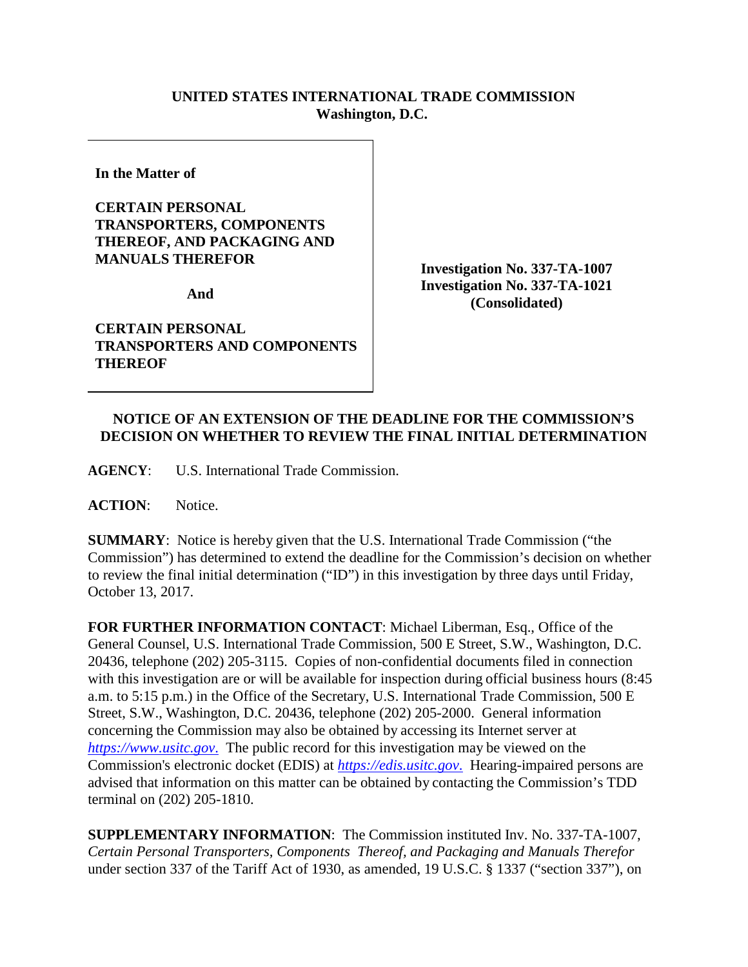## **UNITED STATES INTERNATIONAL TRADE COMMISSION Washington, D.C.**

**In the Matter of** 

## **CERTAIN PERSONAL TRANSPORTERS, COMPONENTS THEREOF, AND PACKAGING AND MANUALS THEREFOR**

**And** 

**CERTAIN PERSONAL TRANSPORTERS AND COMPONENTS THEREOF**

**Investigation No. 337-TA-1007 Investigation No. 337-TA-1021 (Consolidated)**

## **NOTICE OF AN EXTENSION OF THE DEADLINE FOR THE COMMISSION'S DECISION ON WHETHER TO REVIEW THE FINAL INITIAL DETERMINATION**

**AGENCY**: U.S. International Trade Commission.

**ACTION**: Notice.

**SUMMARY**: Notice is hereby given that the U.S. International Trade Commission ("the Commission") has determined to extend the deadline for the Commission's decision on whether to review the final initial determination ("ID") in this investigation by three days until Friday, October 13, 2017.

**FOR FURTHER INFORMATION CONTACT**: Michael Liberman, Esq., Office of the General Counsel, U.S. International Trade Commission, 500 E Street, S.W., Washington, D.C. 20436, telephone (202) 205-3115. Copies of non-confidential documents filed in connection with this investigation are or will be available for inspection during official business hours (8:45 a.m. to 5:15 p.m.) in the Office of the Secretary, U.S. International Trade Commission, 500 E Street, S.W., Washington, D.C. 20436, telephone (202) 205-2000. General information concerning the Commission may also be obtained by accessing its Internet server at *[https://www.usitc.gov](https://www.usitc.gov./)*. The public record for this investigation may be viewed on the Commission's electronic docket (EDIS) at *[https://edis.usitc.gov](https://edis.usitc.gov./)*. Hearing-impaired persons are advised that information on this matter can be obtained by contacting the Commission's TDD terminal on (202) 205-1810.

**SUPPLEMENTARY INFORMATION**: The Commission instituted Inv. No. 337-TA-1007, *Certain Personal Transporters, Components Thereof, and Packaging and Manuals Therefor*  under section 337 of the Tariff Act of 1930, as amended, 19 U.S.C. § 1337 ("section 337"), on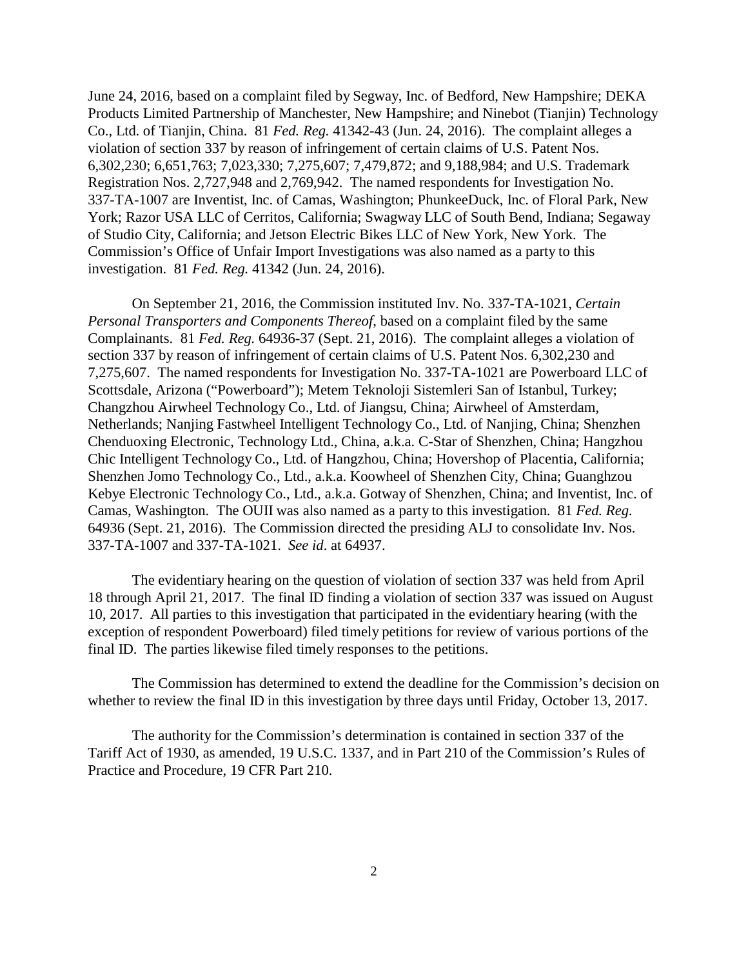June 24, 2016, based on a complaint filed by Segway, Inc. of Bedford, New Hampshire; DEKA Products Limited Partnership of Manchester, New Hampshire; and Ninebot (Tianjin) Technology Co., Ltd. of Tianjin, China. 81 *Fed. Reg.* 41342-43 (Jun. 24, 2016). The complaint alleges a violation of section 337 by reason of infringement of certain claims of U.S. Patent Nos. 6,302,230; 6,651,763; 7,023,330; 7,275,607; 7,479,872; and 9,188,984; and U.S. Trademark Registration Nos. 2,727,948 and 2,769,942. The named respondents for Investigation No. 337-TA-1007 are Inventist, Inc. of Camas, Washington; PhunkeeDuck, Inc. of Floral Park, New York; Razor USA LLC of Cerritos, California; Swagway LLC of South Bend, Indiana; Segaway of Studio City, California; and Jetson Electric Bikes LLC of New York, New York. The Commission's Office of Unfair Import Investigations was also named as a party to this investigation. 81 *Fed. Reg.* 41342 (Jun. 24, 2016).

On September 21, 2016, the Commission instituted Inv. No. 337-TA-1021, *Certain Personal Transporters and Components Thereof*, based on a complaint filed by the same Complainants. 81 *Fed. Reg.* 64936-37 (Sept. 21, 2016). The complaint alleges a violation of section 337 by reason of infringement of certain claims of U.S. Patent Nos. 6,302,230 and 7,275,607. The named respondents for Investigation No. 337-TA-1021 are Powerboard LLC of Scottsdale, Arizona ("Powerboard"); Metem Teknoloji Sistemleri San of Istanbul, Turkey; Changzhou Airwheel Technology Co., Ltd. of Jiangsu, China; Airwheel of Amsterdam, Netherlands; Nanjing Fastwheel Intelligent Technology Co., Ltd. of Nanjing, China; Shenzhen Chenduoxing Electronic, Technology Ltd., China, a.k.a. C-Star of Shenzhen, China; Hangzhou Chic Intelligent Technology Co., Ltd. of Hangzhou, China; Hovershop of Placentia, California; Shenzhen Jomo Technology Co., Ltd., a.k.a. Koowheel of Shenzhen City, China; Guanghzou Kebye Electronic Technology Co., Ltd., a.k.a. Gotway of Shenzhen, China; and Inventist, Inc. of Camas, Washington. The OUII was also named as a party to this investigation. 81 *Fed. Reg*. 64936 (Sept. 21, 2016). The Commission directed the presiding ALJ to consolidate Inv. Nos. 337-TA-1007 and 337-TA-1021. *See id*. at 64937.

The evidentiary hearing on the question of violation of section 337 was held from April 18 through April 21, 2017. The final ID finding a violation of section 337 was issued on August 10, 2017. All parties to this investigation that participated in the evidentiary hearing (with the exception of respondent Powerboard) filed timely petitions for review of various portions of the final ID. The parties likewise filed timely responses to the petitions.

The Commission has determined to extend the deadline for the Commission's decision on whether to review the final ID in this investigation by three days until Friday, October 13, 2017.

The authority for the Commission's determination is contained in section 337 of the Tariff Act of 1930, as amended, 19 U.S.C. 1337, and in Part 210 of the Commission's Rules of Practice and Procedure, 19 CFR Part 210.